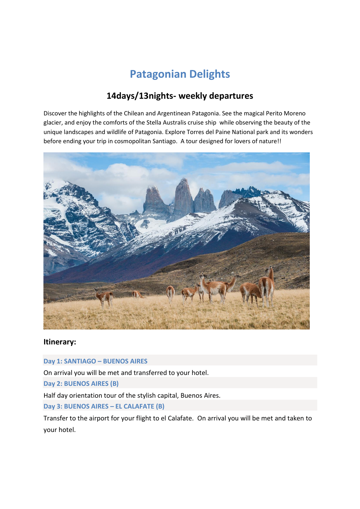# **Patagonian Delights**

# **14days/13nights- weekly departures**

Discover the highlights of the Chilean and Argentinean Patagonia. See the magical Perito Moreno glacier, and enjoy the comforts of the Stella Australis cruise ship while observing the beauty of the unique landscapes and wildlife of Patagonia. Explore Torres del Paine National park and its wonders before ending your trip in cosmopolitan Santiago. A tour designed for lovers of nature!!



### **Itinerary:**

**Day 1: SANTIAGO – BUENOS AIRES** 

On arrival you will be met and transferred to your hotel.

**Day 2: BUENOS AIRES (B)** 

Half day orientation tour of the stylish capital, Buenos Aires.

**Day 3: BUENOS AIRES – EL CALAFATE (B)** 

Transfer to the airport for your flight to el Calafate. On arrival you will be met and taken to your hotel.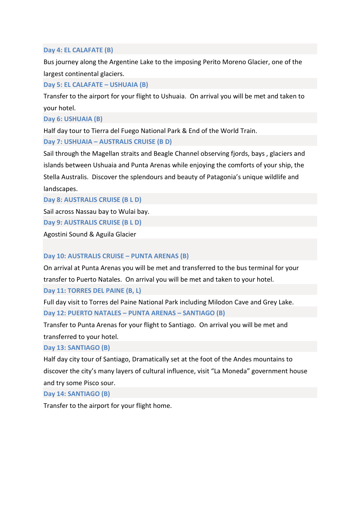#### **Day 4: EL CALAFATE (B)**

Bus journey along the Argentine Lake to the imposing Perito Moreno Glacier, one of the largest continental glaciers.

#### **Day 5: EL CALAFATE – USHUAIA (B)**

Transfer to the airport for your flight to Ushuaia. On arrival you will be met and taken to your hotel.

**Day 6: USHUAIA (B)** 

Half day tour to Tierra del Fuego National Park & End of the World Train.

**Day 7: USHUAIA – AUSTRALIS CRUISE (B D)** 

Sail through the Magellan straits and Beagle Channel observing fjords, bays , glaciers and islands between Ushuaia and Punta Arenas while enjoying the comforts of your ship, the Stella Australis. Discover the splendours and beauty of Patagonia's unique wildlife and landscapes.

**Day 8: AUSTRALIS CRUISE (B L D)** 

Sail across Nassau bay to Wulai bay.

**Day 9: AUSTRALIS CRUISE (B L D)** 

Agostini Sound & Aguila Glacier

#### **Day 10: AUSTRALIS CRUISE – PUNTA ARENAS (B)**

On arrival at Punta Arenas you will be met and transferred to the bus terminal for your transfer to Puerto Natales. On arrival you will be met and taken to your hotel.

**Day 11: TORRES DEL PAINE (B, L)** 

Full day visit to Torres del Paine National Park including Milodon Cave and Grey Lake. **Day 12: PUERTO NATALES – PUNTA ARENAS – SANTIAGO (B)** 

Transfer to Punta Arenas for your flight to Santiago. On arrival you will be met and transferred to your hotel.

#### **Day 13: SANTIAGO (B)**

Half day city tour of Santiago, Dramatically set at the foot of the Andes mountains to discover the city's many layers of cultural influence, visit "La Moneda" government house and try some Pisco sour.

#### **Day 14: SANTIAGO (B)**

Transfer to the airport for your flight home.